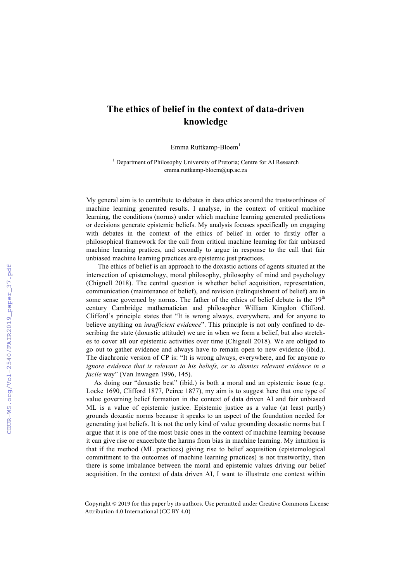## **The ethics of belief in the context of data-driven knowledge**

Emma Ruttkamp-Bloem<sup>1</sup>

<sup>1</sup> Department of Philosophy University of Pretoria; Centre for AI Research emma.ruttkamp-bloem@up.ac.za

My general aim is to contribute to debates in data ethics around the trustworthiness of machine learning generated results. I analyse, in the context of critical machine learning, the conditions (norms) under which machine learning generated predictions or decisions generate epistemic beliefs. My analysis focuses specifically on engaging with debates in the context of the ethics of belief in order to firstly offer a philosophical framework for the call from critical machine learning for fair unbiased machine learning pratices, and secondly to argue in response to the call that fair unbiased machine learning practices are epistemic just practices.

The ethics of belief is an approach to the doxastic actions of agents situated at the intersection of epistemology, moral philosophy, philosophy of mind and psychology (Chignell 2018). The central question is whether belief acquisition, representation, communication (maintenance of belief), and revision (relinquishment of belief) are in some sense governed by norms. The father of the ethics of belief debate is the  $19<sup>th</sup>$ century Cambridge mathematician and philosopher William Kingdon Clifford. Clifford's principle states that "It is wrong always, everywhere, and for anyone to believe anything on *insufficient evidence*". This principle is not only confined to describing the state (doxastic attitude) we are in when we form a belief, but also stretches to cover all our epistemic activities over time (Chignell 2018). We are obliged to go out to gather evidence and always have to remain open to new evidence (ibid.). The diachronic version of CP is: "It is wrong always, everywhere, and for anyone *to ignore evidence that is relevant to his beliefs, or to dismiss relevant evidence in a facile* way" (Van Inwagen 1996, 145).

As doing our "doxastic best" (ibid.) is both a moral and an epistemic issue (e.g. Locke 1690, Clifford 1877, Peirce 1877), my aim is to suggest here that one type of value governing belief formation in the context of data driven AI and fair unbiased ML is a value of epistemic justice. Epistemic justice as a value (at least partly) grounds doxastic norms because it speaks to an aspect of the foundation needed for generating just beliefs. It is not the only kind of value grounding doxastic norms but I argue that it is one of the most basic ones in the context of machine learning because it can give rise or exacerbate the harms from bias in machine learning. My intuition is that if the method (ML practices) giving rise to belief acquisition (epistemological commitment to the outcomes of machine learning practices) is not trustworthy, then there is some imbalance between the moral and epistemic values driving our belief acquisition. In the context of data driven AI, I want to illustrate one context within

Copyright © 2019 for this paper by its authors. Use permitted under Creative Commons License Attribution 4.0 International (CC BY 4.0)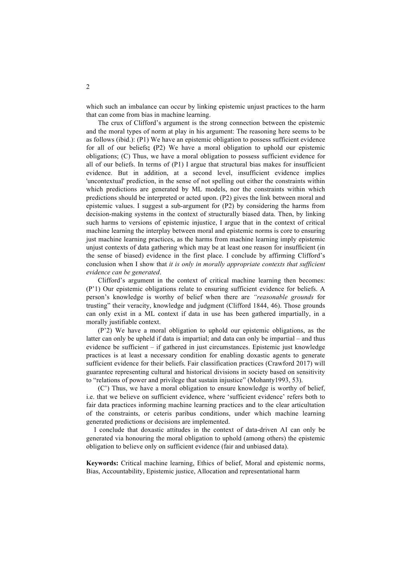which such an imbalance can occur by linking epistemic unjust practices to the harm that can come from bias in machine learning.

The crux of Clifford's argument is the strong connection between the epistemic and the moral types of norm at play in his argument: The reasoning here seems to be as follows (ibid.): (P1) We have an epistemic obligation to possess sufficient evidence for all of our beliefs**; (**P2) We have a moral obligation to uphold our epistemic obligations; (C) Thus, we have a moral obligation to possess sufficient evidence for all of our beliefs. In terms of  $(P1)$  I argue that structural bias makes for insufficient evidence. But in addition, at a second level, insufficient evidence implies 'uncontextual' prediction, in the sense of not spelling out either the constraints within which predictions are generated by ML models, nor the constraints within which predictions should be interpreted or acted upon. (P2) gives the link between moral and epistemic values. I suggest a sub-argument for (P2) by considering the harms from decision-making systems in the context of structurally biased data. Then, by linking such harms to versions of epistemic injustice, I argue that in the context of critical machine learning the interplay between moral and epistemic norms is core to ensuring just machine learning practices, as the harms from machine learning imply epistemic unjust contexts of data gathering which may be at least one reason for insufficient (in the sense of biased) evidence in the first place. I conclude by affirming Clifford's conclusion when I show that *it is only in morally appropriate contexts that sufficient evidence can be generated*.

Clifford's argument in the context of critical machine learning then becomes: (P'1) Our epistemic obligations relate to ensuring sufficient evidence for beliefs. A person's knowledge is worthy of belief when there are *"reasonable grounds* for trusting" their veracity, knowledge and judgment (Clifford 1844, 46). Those grounds can only exist in a ML context if data in use has been gathered impartially, in a morally justifiable context.

(P'2) We have a moral obligation to uphold our epistemic obligations, as the latter can only be upheld if data is impartial; and data can only be impartial – and thus evidence be sufficient – if gathered in just circumstances. Epistemic just knowledge practices is at least a necessary condition for enabling doxastic agents to generate sufficient evidence for their beliefs. Fair classification practices (Crawford 2017) will guarantee representing cultural and historical divisions in society based on sensitivity to "relations of power and privilege that sustain injustice" (Mohanty1993, 53).

(C') Thus, we have a moral obligation to ensure knowledge is worthy of belief, i.e. that we believe on sufficient evidence, where 'sufficient evidence' refers both to fair data practices informing machine learning practices and to the clear articultation of the constraints, or ceteris paribus conditions, under which machine learning generated predictions or decisions are implemented.

I conclude that doxastic attitudes in the context of data-driven AI can only be generated via honouring the moral obligation to uphold (among others) the epistemic obligation to believe only on sufficient evidence (fair and unbiased data).

**Keywords:** Critical machine learning, Ethics of belief, Moral and epistemic norms, Bias, Accountability, Epistemic justice, Allocation and representational harm